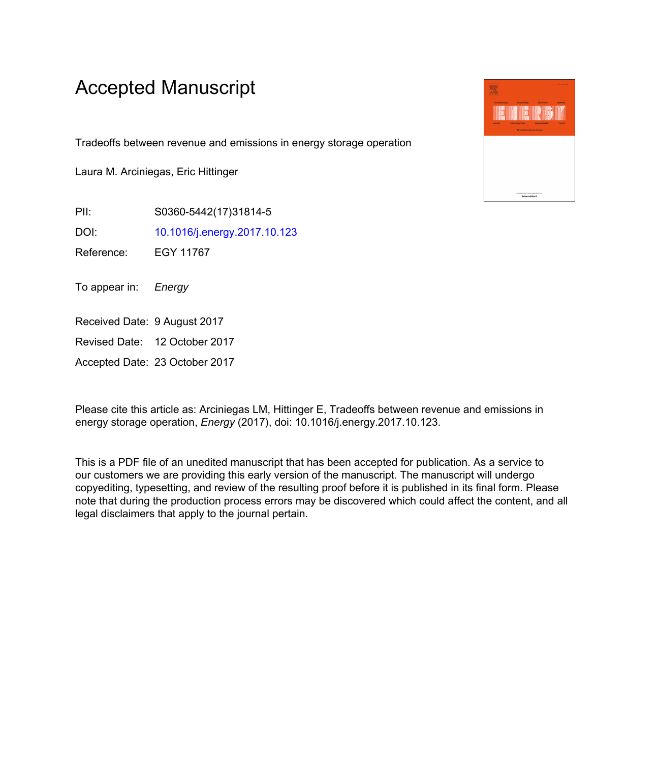# Accepted Manuscript

Tradeoffs between revenue and emissions in energy storage operation

Laura M. Arciniegas, Eric Hittinger

PII: S0360-5442(17)31814-5

DOI: [10.1016/j.energy.2017.10.123](https://doi.org/10.1016/j.energy.2017.10.123)

Reference: EGY 11767

To appear in: Energy

Received Date: 9 August 2017

Revised Date: 12 October 2017

Accepted Date: 23 October 2017

Please cite this article as: Arciniegas LM, Hittinger E, Tradeoffs between revenue and emissions in energy storage operation, *Energy* (2017), doi: 10.1016/j.energy.2017.10.123.

This is a PDF file of an unedited manuscript that has been accepted for publication. As a service to our customers we are providing this early version of the manuscript. The manuscript will undergo copyediting, typesetting, and review of the resulting proof before it is published in its final form. Please note that during the production process errors may be discovered which could affect the content, and all legal disclaimers that apply to the journal pertain.

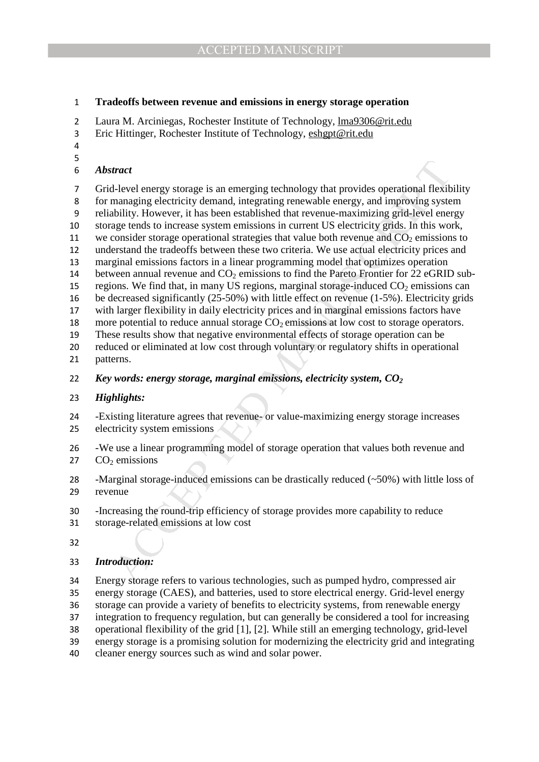#### **Tradeoffs between revenue and emissions in energy storage operation**

- 2 Laura M. Arciniegas, Rochester Institute of Technology, <u>Ima9306@rit.edu</u>
- Eric Hittinger, Rochester Institute of Technology, eshgpt@rit.edu
- 
- 

### *Abstract*

*tract*<br>
I-level energy storage is an emerging technology that provides operational flexibles<br>
Inleapsing electricity demand, integrating renewable energy, and improving system<br>
Inbility. However, it has been established t Grid-level energy storage is an emerging technology that provides operational flexibility for managing electricity demand, integrating renewable energy, and improving system reliability. However, it has been established that revenue-maximizing grid-level energy storage tends to increase system emissions in current US electricity grids. In this work, 11 we consider storage operational strategies that value both revenue and  $CO<sub>2</sub>$  emissions to understand the tradeoffs between these two criteria. We use actual electricity prices and marginal emissions factors in a linear programming model that optimizes operation 14 between annual revenue and  $CO<sub>2</sub>$  emissions to find the Pareto Frontier for 22 eGRID sub-15 regions. We find that, in many US regions, marginal storage-induced  $CO<sub>2</sub>$  emissions can be decreased significantly (25-50%) with little effect on revenue (1-5%). Electricity grids with larger flexibility in daily electricity prices and in marginal emissions factors have 18 more potential to reduce annual storage  $CO<sub>2</sub>$  emissions at low cost to storage operators. These results show that negative environmental effects of storage operation can be

reduced or eliminated at low cost through voluntary or regulatory shifts in operational patterns.

*Key words: energy storage, marginal emissions, electricity system, CO<sup>2</sup>*

#### *Highlights:*

- -Existing literature agrees that revenue- or value-maximizing energy storage increases electricity system emissions
- -We use a linear programming model of storage operation that values both revenue and 27  $CO<sub>2</sub>$  emissions

-Marginal storage-induced emissions can be drastically reduced (~50%) with little loss of revenue

- -Increasing the round-trip efficiency of storage provides more capability to reduce
- storage-related emissions at low cost
- 

#### *Introduction:*

Energy storage refers to various technologies, such as pumped hydro, compressed air energy storage (CAES), and batteries, used to store electrical energy. Grid-level energy storage can provide a variety of benefits to electricity systems, from renewable energy integration to frequency regulation, but can generally be considered a tool for increasing operational flexibility of the grid [1], [2]. While still an emerging technology, grid-level energy storage is a promising solution for modernizing the electricity grid and integrating cleaner energy sources such as wind and solar power.